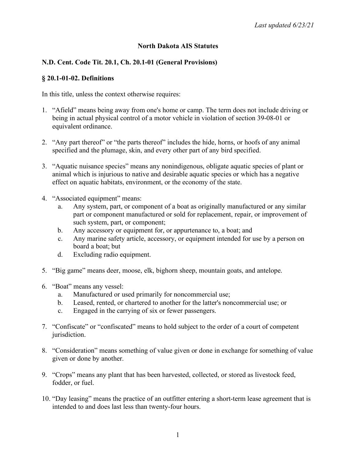### **North Dakota AIS Statutes**

### **N.D. Cent. Code Tit. 20.1, Ch. 20.1-01 (General Provisions)**

#### **§ 20.1-01-02. Definitions**

In this title, unless the context otherwise requires:

- 1. "Afield" means being away from one's home or camp. The term does not include driving or being in actual physical control of a motor vehicle in violation of section 39-08-01 or equivalent ordinance.
- 2. "Any part thereof" or "the parts thereof" includes the hide, horns, or hoofs of any animal specified and the plumage, skin, and every other part of any bird specified.
- 3. "Aquatic nuisance species" means any nonindigenous, obligate aquatic species of plant or animal which is injurious to native and desirable aquatic species or which has a negative effect on aquatic habitats, environment, or the economy of the state.
- 4. "Associated equipment" means:
	- a. Any system, part, or component of a boat as originally manufactured or any similar part or component manufactured or sold for replacement, repair, or improvement of such system, part, or component;
	- b. Any accessory or equipment for, or appurtenance to, a boat; and
	- c. Any marine safety article, accessory, or equipment intended for use by a person on board a boat; but
	- d. Excluding radio equipment.
- 5. "Big game" means deer, moose, elk, bighorn sheep, mountain goats, and antelope.
- 6. "Boat" means any vessel:
	- a. Manufactured or used primarily for noncommercial use;
	- b. Leased, rented, or chartered to another for the latter's noncommercial use; or
	- c. Engaged in the carrying of six or fewer passengers.
- 7. "Confiscate" or "confiscated" means to hold subject to the order of a court of competent jurisdiction.
- 8. "Consideration" means something of value given or done in exchange for something of value given or done by another.
- 9. "Crops" means any plant that has been harvested, collected, or stored as livestock feed, fodder, or fuel.
- 10. "Day leasing" means the practice of an outfitter entering a short-term lease agreement that is intended to and does last less than twenty-four hours.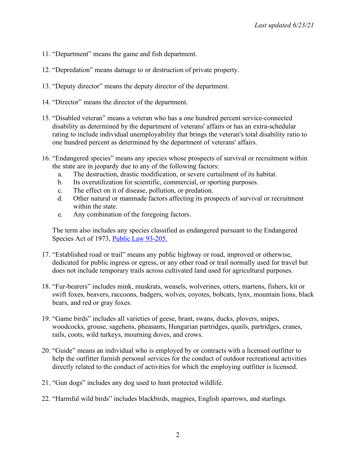- 11. "Department" means the game and fish department.
- 12. "Depredation" means damage to or destruction of private property.
- 13. "Deputy director" means the deputy director of the department.
- 14. "Director" means the director of the department.
- 15. "Disabled veteran" means a veteran who has a one hundred percent service-connected disability as determined by the department of veterans' affairs or has an extra-schedular rating to include individual unemployability that brings the veteran's total disability ratio to one hundred percent as determined by the department of veterans' affairs.
- 16. "Endangered species" means any species whose prospects of survival or recruitment within the state are in jeopardy due to any of the following factors:
	- a. The destruction, drastic modification, or severe curtailment of its habitat.
	- b. Its overutilization for scientific, commercial, or sporting purposes.
	- c. The effect on it of disease, pollution, or predation.
	- d. Other natural or manmade factors affecting its prospects of survival or recruitment within the state.
	- e. Any combination of the foregoing factors.

The term also includes any species classified as endangered pursuant to the Endangered Species Act of 1973, Public Law 93-205.

- 17. "Established road or trail" means any public highway or road, improved or otherwise, dedicated for public ingress or egress, or any other road or trail normally used for travel but does not include temporary trails across cultivated land used for agricultural purposes.
- 18. "Fur-bearers" includes mink, muskrats, weasels, wolverines, otters, martens, fishers, kit or swift foxes, beavers, raccoons, badgers, wolves, coyotes, bobcats, lynx, mountain lions, black bears, and red or gray foxes.
- 19. "Game birds" includes all varieties of geese, brant, swans, ducks, plovers, snipes, woodcocks, grouse, sagehens, pheasants, Hungarian partridges, quails, partridges, cranes, rails, coots, wild turkeys, mourning doves, and crows.
- 20. "Guide" means an individual who is employed by or contracts with a licensed outfitter to help the outfitter furnish personal services for the conduct of outdoor recreational activities directly related to the conduct of activities for which the employing outfitter is licensed.
- 21. "Gun dogs" includes any dog used to hunt protected wildlife.
- 22. "Harmful wild birds" includes blackbirds, magpies, English sparrows, and starlings.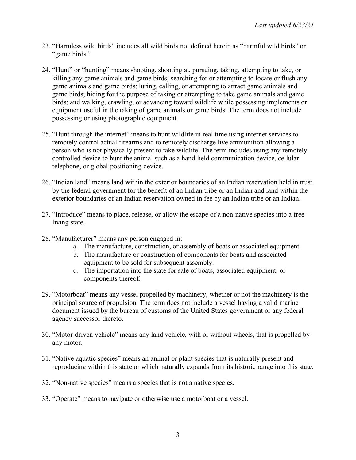- 23. "Harmless wild birds" includes all wild birds not defined herein as "harmful wild birds" or "game birds".
- 24. "Hunt" or "hunting" means shooting, shooting at, pursuing, taking, attempting to take, or killing any game animals and game birds; searching for or attempting to locate or flush any game animals and game birds; luring, calling, or attempting to attract game animals and game birds; hiding for the purpose of taking or attempting to take game animals and game birds; and walking, crawling, or advancing toward wildlife while possessing implements or equipment useful in the taking of game animals or game birds. The term does not include possessing or using photographic equipment.
- 25. "Hunt through the internet" means to hunt wildlife in real time using internet services to remotely control actual firearms and to remotely discharge live ammunition allowing a person who is not physically present to take wildlife. The term includes using any remotely controlled device to hunt the animal such as a hand-held communication device, cellular telephone, or global-positioning device.
- 26. "Indian land" means land within the exterior boundaries of an Indian reservation held in trust by the federal government for the benefit of an Indian tribe or an Indian and land within the exterior boundaries of an Indian reservation owned in fee by an Indian tribe or an Indian.
- 27. "Introduce" means to place, release, or allow the escape of a non-native species into a freeliving state.
- 28. "Manufacturer" means any person engaged in:
	- a. The manufacture, construction, or assembly of boats or associated equipment.
	- b. The manufacture or construction of components for boats and associated equipment to be sold for subsequent assembly.
	- c. The importation into the state for sale of boats, associated equipment, or components thereof.
- 29. "Motorboat" means any vessel propelled by machinery, whether or not the machinery is the principal source of propulsion. The term does not include a vessel having a valid marine document issued by the bureau of customs of the United States government or any federal agency successor thereto.
- 30. "Motor-driven vehicle" means any land vehicle, with or without wheels, that is propelled by any motor.
- 31. "Native aquatic species" means an animal or plant species that is naturally present and reproducing within this state or which naturally expands from its historic range into this state.
- 32. "Non-native species" means a species that is not a native species.
- 33. "Operate" means to navigate or otherwise use a motorboat or a vessel.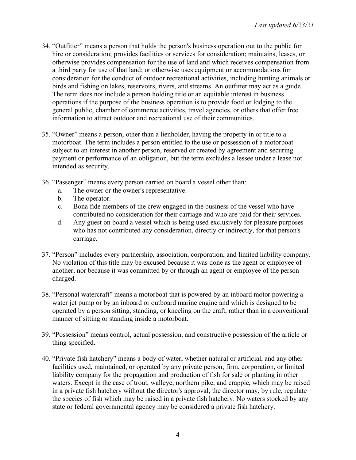- 34. "Outfitter" means a person that holds the person's business operation out to the public for hire or consideration; provides facilities or services for consideration; maintains, leases, or otherwise provides compensation for the use of land and which receives compensation from a third party for use of that land; or otherwise uses equipment or accommodations for consideration for the conduct of outdoor recreational activities, including hunting animals or birds and fishing on lakes, reservoirs, rivers, and streams. An outfitter may act as a guide. The term does not include a person holding title or an equitable interest in business operations if the purpose of the business operation is to provide food or lodging to the general public, chamber of commerce activities, travel agencies, or others that offer free information to attract outdoor and recreational use of their communities.
- 35. "Owner" means a person, other than a lienholder, having the property in or title to a motorboat. The term includes a person entitled to the use or possession of a motorboat subject to an interest in another person, reserved or created by agreement and securing payment or performance of an obligation, but the term excludes a lessee under a lease not intended as security.
- 36. "Passenger" means every person carried on board a vessel other than:
	- a. The owner or the owner's representative.
	- b. The operator.
	- c. Bona fide members of the crew engaged in the business of the vessel who have contributed no consideration for their carriage and who are paid for their services.
	- d. Any guest on board a vessel which is being used exclusively for pleasure purposes who has not contributed any consideration, directly or indirectly, for that person's carriage.
- 37. "Person" includes every partnership, association, corporation, and limited liability company. No violation of this title may be excused because it was done as the agent or employee of another, nor because it was committed by or through an agent or employee of the person charged.
- 38. "Personal watercraft" means a motorboat that is powered by an inboard motor powering a water jet pump or by an inboard or outboard marine engine and which is designed to be operated by a person sitting, standing, or kneeling on the craft, rather than in a conventional manner of sitting or standing inside a motorboat.
- 39. "Possession" means control, actual possession, and constructive possession of the article or thing specified.
- 40. "Private fish hatchery" means a body of water, whether natural or artificial, and any other facilities used, maintained, or operated by any private person, firm, corporation, or limited liability company for the propagation and production of fish for sale or planting in other waters. Except in the case of trout, walleye, northern pike, and crappie, which may be raised in a private fish hatchery without the director's approval, the director may, by rule, regulate the species of fish which may be raised in a private fish hatchery. No waters stocked by any state or federal governmental agency may be considered a private fish hatchery.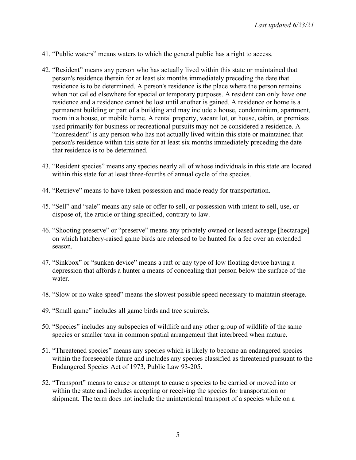- 41. "Public waters" means waters to which the general public has a right to access.
- 42. "Resident" means any person who has actually lived within this state or maintained that person's residence therein for at least six months immediately preceding the date that residence is to be determined. A person's residence is the place where the person remains when not called elsewhere for special or temporary purposes. A resident can only have one residence and a residence cannot be lost until another is gained. A residence or home is a permanent building or part of a building and may include a house, condominium, apartment, room in a house, or mobile home. A rental property, vacant lot, or house, cabin, or premises used primarily for business or recreational pursuits may not be considered a residence. A "nonresident" is any person who has not actually lived within this state or maintained that person's residence within this state for at least six months immediately preceding the date that residence is to be determined.
- 43. "Resident species" means any species nearly all of whose individuals in this state are located within this state for at least three-fourths of annual cycle of the species.
- 44. "Retrieve" means to have taken possession and made ready for transportation.
- 45. "Sell" and "sale" means any sale or offer to sell, or possession with intent to sell, use, or dispose of, the article or thing specified, contrary to law.
- 46. "Shooting preserve" or "preserve" means any privately owned or leased acreage [hectarage] on which hatchery-raised game birds are released to be hunted for a fee over an extended season.
- 47. "Sinkbox" or "sunken device" means a raft or any type of low floating device having a depression that affords a hunter a means of concealing that person below the surface of the water.
- 48. "Slow or no wake speed" means the slowest possible speed necessary to maintain steerage.
- 49. "Small game" includes all game birds and tree squirrels.
- 50. "Species" includes any subspecies of wildlife and any other group of wildlife of the same species or smaller taxa in common spatial arrangement that interbreed when mature.
- 51. "Threatened species" means any species which is likely to become an endangered species within the foreseeable future and includes any species classified as threatened pursuant to the Endangered Species Act of 1973, Public Law 93-205.
- 52. "Transport" means to cause or attempt to cause a species to be carried or moved into or within the state and includes accepting or receiving the species for transportation or shipment. The term does not include the unintentional transport of a species while on a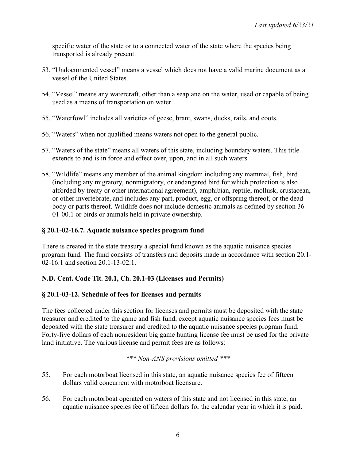specific water of the state or to a connected water of the state where the species being transported is already present.

- 53. "Undocumented vessel" means a vessel which does not have a valid marine document as a vessel of the United States.
- 54. "Vessel" means any watercraft, other than a seaplane on the water, used or capable of being used as a means of transportation on water.
- 55. "Waterfowl" includes all varieties of geese, brant, swans, ducks, rails, and coots.
- 56. "Waters" when not qualified means waters not open to the general public.
- 57. "Waters of the state" means all waters of this state, including boundary waters. This title extends to and is in force and effect over, upon, and in all such waters.
- 58. "Wildlife" means any member of the animal kingdom including any mammal, fish, bird (including any migratory, nonmigratory, or endangered bird for which protection is also afforded by treaty or other international agreement), amphibian, reptile, mollusk, crustacean, or other invertebrate, and includes any part, product, egg, or offspring thereof, or the dead body or parts thereof. Wildlife does not include domestic animals as defined by section 36- 01-00.1 or birds or animals held in private ownership.

## **§ 20.1-02-16.7. Aquatic nuisance species program fund**

There is created in the state treasury a special fund known as the aquatic nuisance species program fund. The fund consists of transfers and deposits made in accordance with section 20.1- 02-16.1 and section 20.1-13-02.1.

# **N.D. Cent. Code Tit. 20.1, Ch. 20.1-03 (Licenses and Permits)**

### **§ 20.1-03-12. Schedule of fees for licenses and permits**

The fees collected under this section for licenses and permits must be deposited with the state treasurer and credited to the game and fish fund, except aquatic nuisance species fees must be deposited with the state treasurer and credited to the aquatic nuisance species program fund. Forty-five dollars of each nonresident big game hunting license fee must be used for the private land initiative. The various license and permit fees are as follows:

# *\*\*\* Non-ANS provisions omitted \*\*\**

- 55. For each motorboat licensed in this state, an aquatic nuisance species fee of fifteen dollars valid concurrent with motorboat licensure.
- 56. For each motorboat operated on waters of this state and not licensed in this state, an aquatic nuisance species fee of fifteen dollars for the calendar year in which it is paid.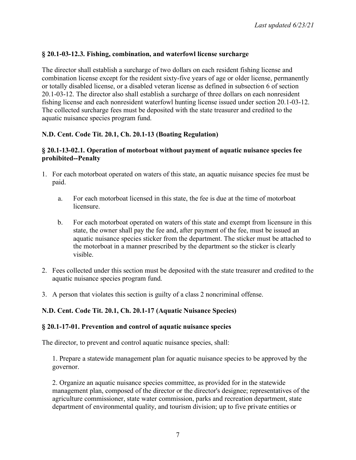# **§ 20.1-03-12.3. Fishing, combination, and waterfowl license surcharge**

The director shall establish a surcharge of two dollars on each resident fishing license and combination license except for the resident sixty-five years of age or older license, permanently or totally disabled license, or a disabled veteran license as defined in subsection 6 of section 20.1-03-12. The director also shall establish a surcharge of three dollars on each nonresident fishing license and each nonresident waterfowl hunting license issued under section 20.1-03-12. The collected surcharge fees must be deposited with the state treasurer and credited to the aquatic nuisance species program fund.

### **N.D. Cent. Code Tit. 20.1, Ch. 20.1-13 (Boating Regulation)**

### **§ 20.1-13-02.1. Operation of motorboat without payment of aquatic nuisance species fee prohibited--Penalty**

- 1. For each motorboat operated on waters of this state, an aquatic nuisance species fee must be paid.
	- a. For each motorboat licensed in this state, the fee is due at the time of motorboat licensure.
	- b. For each motorboat operated on waters of this state and exempt from licensure in this state, the owner shall pay the fee and, after payment of the fee, must be issued an aquatic nuisance species sticker from the department. The sticker must be attached to the motorboat in a manner prescribed by the department so the sticker is clearly visible.
- 2. Fees collected under this section must be deposited with the state treasurer and credited to the aquatic nuisance species program fund.
- 3. A person that violates this section is guilty of a class 2 noncriminal offense.

### **N.D. Cent. Code Tit. 20.1, Ch. 20.1-17 (Aquatic Nuisance Species)**

#### **§ 20.1-17-01. Prevention and control of aquatic nuisance species**

The director, to prevent and control aquatic nuisance species, shall:

1. Prepare a statewide management plan for aquatic nuisance species to be approved by the governor.

2. Organize an aquatic nuisance species committee, as provided for in the statewide management plan, composed of the director or the director's designee; representatives of the agriculture commissioner, state water commission, parks and recreation department, state department of environmental quality, and tourism division; up to five private entities or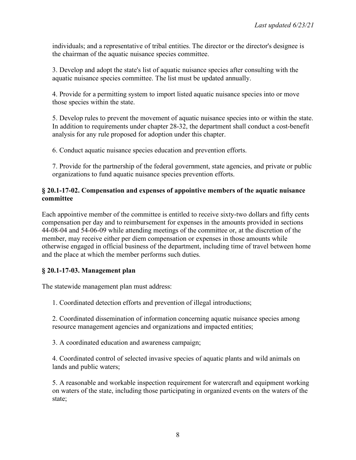individuals; and a representative of tribal entities. The director or the director's designee is the chairman of the aquatic nuisance species committee.

3. Develop and adopt the state's list of aquatic nuisance species after consulting with the aquatic nuisance species committee. The list must be updated annually.

4. Provide for a permitting system to import listed aquatic nuisance species into or move those species within the state.

5. Develop rules to prevent the movement of aquatic nuisance species into or within the state. In addition to requirements under chapter 28-32, the department shall conduct a cost-benefit analysis for any rule proposed for adoption under this chapter.

6. Conduct aquatic nuisance species education and prevention efforts.

7. Provide for the partnership of the federal government, state agencies, and private or public organizations to fund aquatic nuisance species prevention efforts.

### **§ 20.1-17-02. Compensation and expenses of appointive members of the aquatic nuisance committee**

Each appointive member of the committee is entitled to receive sixty-two dollars and fifty cents compensation per day and to reimbursement for expenses in the amounts provided in sections 44-08-04 and 54-06-09 while attending meetings of the committee or, at the discretion of the member, may receive either per diem compensation or expenses in those amounts while otherwise engaged in official business of the department, including time of travel between home and the place at which the member performs such duties.

# **§ 20.1-17-03. Management plan**

The statewide management plan must address:

1. Coordinated detection efforts and prevention of illegal introductions;

2. Coordinated dissemination of information concerning aquatic nuisance species among resource management agencies and organizations and impacted entities;

3. A coordinated education and awareness campaign;

4. Coordinated control of selected invasive species of aquatic plants and wild animals on lands and public waters;

5. A reasonable and workable inspection requirement for watercraft and equipment working on waters of the state, including those participating in organized events on the waters of the state;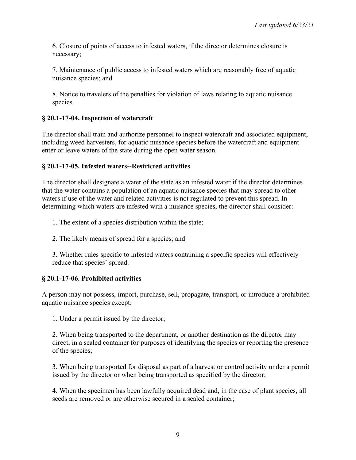6. Closure of points of access to infested waters, if the director determines closure is necessary;

7. Maintenance of public access to infested waters which are reasonably free of aquatic nuisance species; and

8. Notice to travelers of the penalties for violation of laws relating to aquatic nuisance species.

# **§ 20.1-17-04. Inspection of watercraft**

The director shall train and authorize personnel to inspect watercraft and associated equipment, including weed harvesters, for aquatic nuisance species before the watercraft and equipment enter or leave waters of the state during the open water season.

# **§ 20.1-17-05. Infested waters--Restricted activities**

The director shall designate a water of the state as an infested water if the director determines that the water contains a population of an aquatic nuisance species that may spread to other waters if use of the water and related activities is not regulated to prevent this spread. In determining which waters are infested with a nuisance species, the director shall consider:

1. The extent of a species distribution within the state;

2. The likely means of spread for a species; and

3. Whether rules specific to infested waters containing a specific species will effectively reduce that species' spread.

# **§ 20.1-17-06. Prohibited activities**

A person may not possess, import, purchase, sell, propagate, transport, or introduce a prohibited aquatic nuisance species except:

1. Under a permit issued by the director;

2. When being transported to the department, or another destination as the director may direct, in a sealed container for purposes of identifying the species or reporting the presence of the species;

3. When being transported for disposal as part of a harvest or control activity under a permit issued by the director or when being transported as specified by the director;

4. When the specimen has been lawfully acquired dead and, in the case of plant species, all seeds are removed or are otherwise secured in a sealed container;